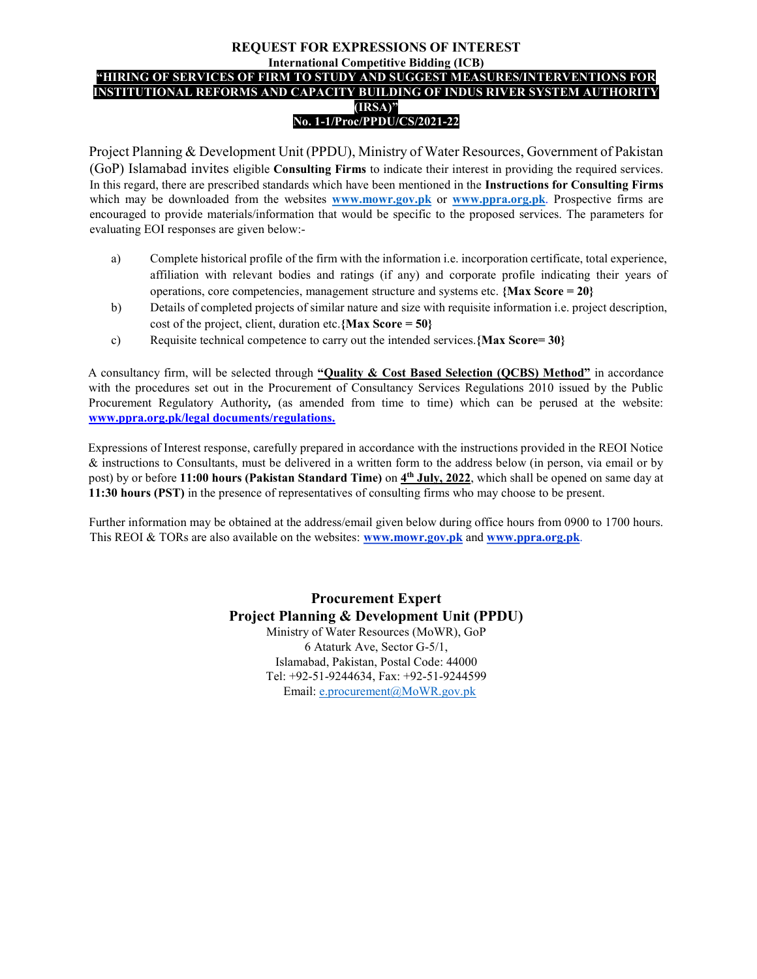## REQUEST FOR EXPRESSIONS OF INTEREST International Competitive Bidding (ICB) "HIRING OF SERVICES OF FIRM TO STUDY AND SUGGEST MEASURES/INTERVENTIONS FOR INSTITUTIONAL REFORMS AND CAPACITY BUILDING OF INDUS RIVER SYSTEM AUTHORITY (IRSA)" No. 1-1/Proc/PPDU/CS/2021-22

Project Planning & Development Unit (PPDU), Ministry of Water Resources, Government of Pakistan (GoP) Islamabad invites eligible Consulting Firms to indicate their interest in providing the required services. In this regard, there are prescribed standards which have been mentioned in the Instructions for Consulting Firms which may be downloaded from the websites www.mowr.gov.pk or www.ppra.org.pk. Prospective firms are encouraged to provide materials/information that would be specific to the proposed services. The parameters for evaluating EOI responses are given below:-

- a) Complete historical profile of the firm with the information i.e. incorporation certificate, total experience, affiliation with relevant bodies and ratings (if any) and corporate profile indicating their years of operations, core competencies, management structure and systems etc. {Max Score = 20}
- b) Details of completed projects of similar nature and size with requisite information i.e. project description, cost of the project, client, duration etc. {Max Score =  $50$ }
- c) Requisite technical competence to carry out the intended services. {Max Score= 30}

A consultancy firm, will be selected through "Quality & Cost Based Selection (QCBS) Method" in accordance with the procedures set out in the Procurement of Consultancy Services Regulations 2010 issued by the Public Procurement Regulatory Authority, (as amended from time to time) which can be perused at the website: www.ppra.org.pk/legal documents/regulations.

Expressions of Interest response, carefully prepared in accordance with the instructions provided in the REOI Notice & instructions to Consultants, must be delivered in a written form to the address below (in person, via email or by post) by or before 11:00 hours (Pakistan Standard Time) on  $\frac{4^{\text{th}} \text{ July, 2022}}{2^{\text{th}}}$ , which shall be opened on same day at 11:30 hours (PST) in the presence of representatives of consulting firms who may choose to be present.

Further information may be obtained at the address/email given below during office hours from 0900 to 1700 hours. This REOI & TORs are also available on the websites: www.mowr.gov.pk and www.ppra.org.pk.

> Procurement Expert Project Planning & Development Unit (PPDU) Ministry of Water Resources (MoWR), GoP 6 Ataturk Ave, Sector G-5/1, Islamabad, Pakistan, Postal Code: 44000 Tel: +92-51-9244634, Fax: +92-51-9244599 Email: e.procurement@MoWR.gov.pk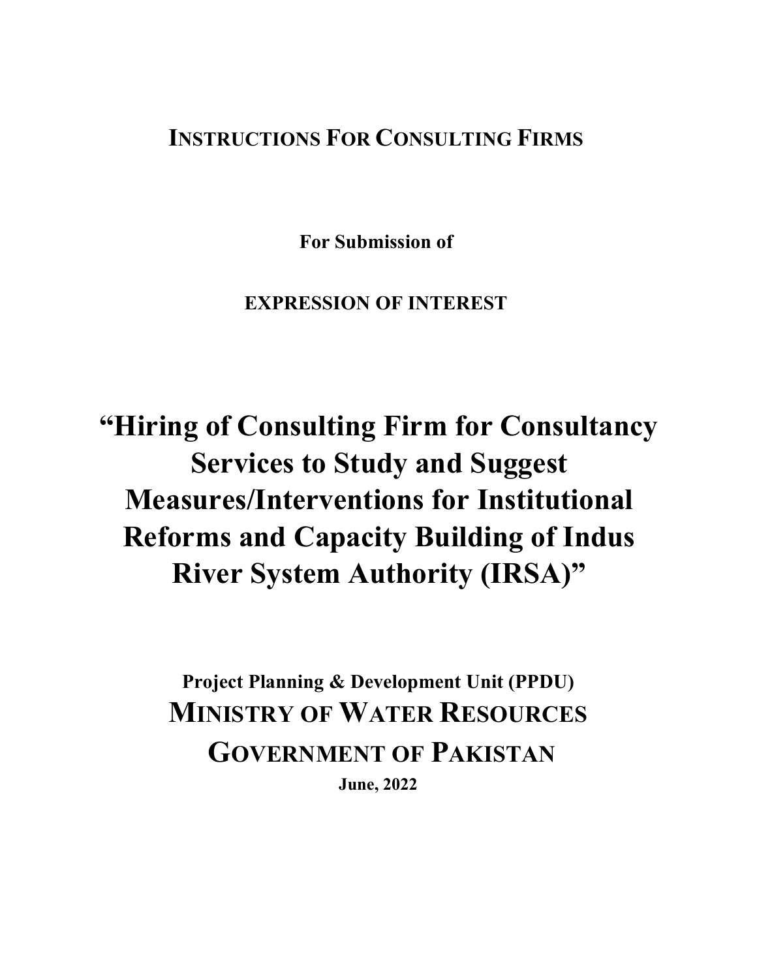## INSTRUCTIONS FOR CONSULTING FIRMS

For Submission of

EXPRESSION OF INTEREST

"Hiring of Consulting Firm for Consultancy Services to Study and Suggest Measures/Interventions for Institutional Reforms and Capacity Building of Indus River System Authority (IRSA)"

> Project Planning & Development Unit (PPDU) MINISTRY OF WATER RESOURCES GOVERNMENT OF PAKISTAN June, 2022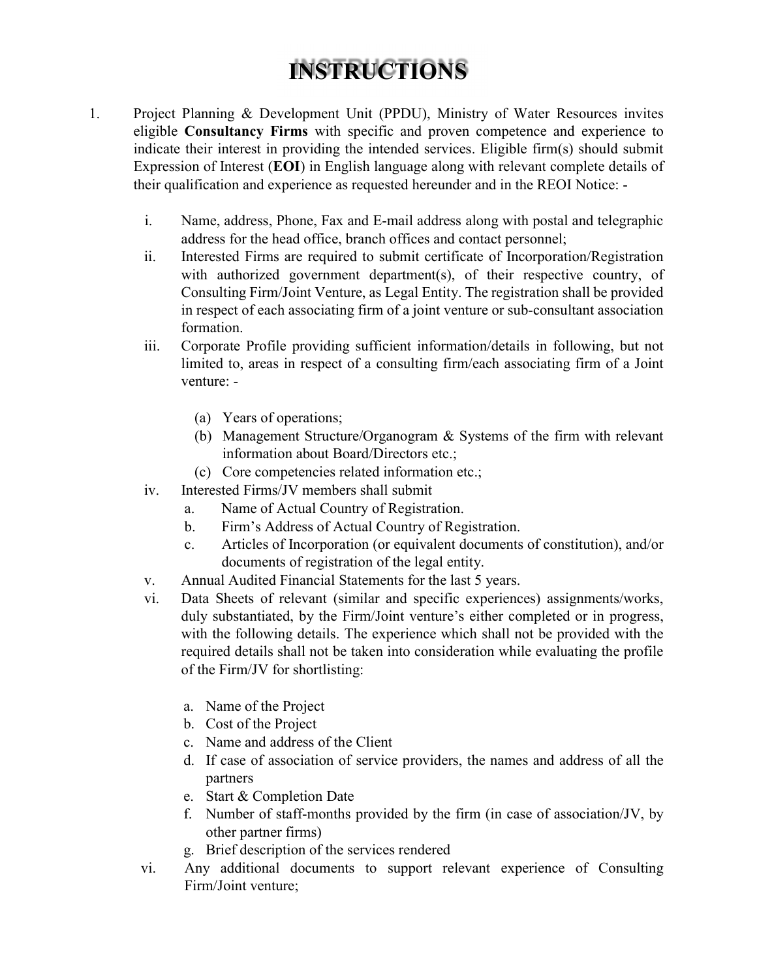## INSTRUCTIONS

- 1. Project Planning & Development Unit (PPDU), Ministry of Water Resources invites eligible Consultancy Firms with specific and proven competence and experience to indicate their interest in providing the intended services. Eligible firm(s) should submit Expression of Interest (EOI) in English language along with relevant complete details of their qualification and experience as requested hereunder and in the REOI Notice:
	- i. Name, address, Phone, Fax and E-mail address along with postal and telegraphic address for the head office, branch offices and contact personnel;
	- ii. Interested Firms are required to submit certificate of Incorporation/Registration with authorized government department(s), of their respective country, of Consulting Firm/Joint Venture, as Legal Entity. The registration shall be provided in respect of each associating firm of a joint venture or sub-consultant association formation.
	- iii. Corporate Profile providing sufficient information/details in following, but not limited to, areas in respect of a consulting firm/each associating firm of a Joint venture: -
		- (a) Years of operations;
		- (b) Management Structure/Organogram & Systems of the firm with relevant information about Board/Directors etc.;
		- (c) Core competencies related information etc.;
	- iv. Interested Firms/JV members shall submit
		- a. Name of Actual Country of Registration.
		- b. Firm's Address of Actual Country of Registration.
		- c. Articles of Incorporation (or equivalent documents of constitution), and/or documents of registration of the legal entity.
	- v. Annual Audited Financial Statements for the last 5 years.
	- vi. Data Sheets of relevant (similar and specific experiences) assignments/works, duly substantiated, by the Firm/Joint venture's either completed or in progress, with the following details. The experience which shall not be provided with the required details shall not be taken into consideration while evaluating the profile of the Firm/JV for shortlisting:
		- a. Name of the Project
		- b. Cost of the Project
		- c. Name and address of the Client
		- d. If case of association of service providers, the names and address of all the partners
		- e. Start & Completion Date
		- f. Number of staff-months provided by the firm (in case of association/JV, by other partner firms)
		- g. Brief description of the services rendered
	- vi. Any additional documents to support relevant experience of Consulting Firm/Joint venture;